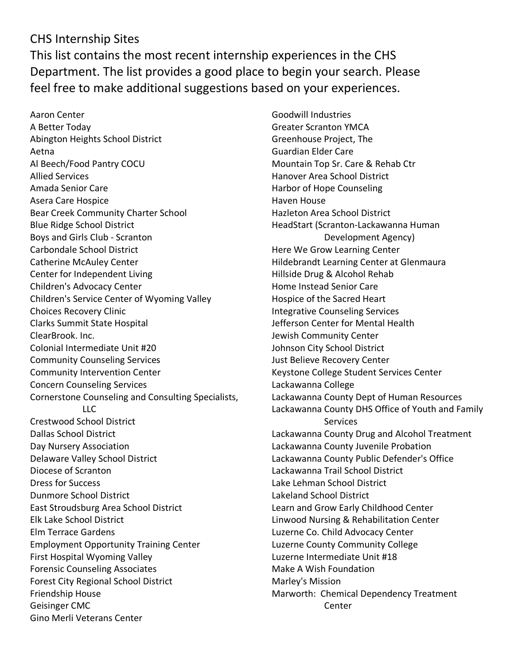## CHS Internship Sites This list contains the most recent internship experiences in the CHS Department. The list provides a good place to begin your search. Please feel free to make additional suggestions based on your experiences.

Aaron Center A Better Today Abington Heights School District Aetna Al Beech/Food Pantry COCU Allied Services Amada Senior Care Asera Care Hospice Bear Creek Community Charter School Blue Ridge School District Boys and Girls Club - Scranton Carbondale School District Catherine McAuley Center Center for Independent Living Children's Advocacy Center Children's Service Center of Wyoming Valley Choices Recovery Clinic Clarks Summit State Hospital ClearBrook. Inc. Colonial Intermediate Unit #20 Community Counseling Services Community Intervention Center Concern Counseling Services Cornerstone Counseling and Consulting Specialists, LLC Crestwood School District Dallas School District Day Nursery Association Delaware Valley School District Diocese of Scranton Dress for Success Dunmore School District East Stroudsburg Area School District Elk Lake School District Elm Terrace Gardens Employment Opportunity Training Center First Hospital Wyoming Valley Forensic Counseling Associates Forest City Regional School District Friendship House Geisinger CMC Gino Merli Veterans Center

Goodwill Industries Greater Scranton YMCA Greenhouse Project, The Guardian Elder Care Mountain Top Sr. Care & Rehab Ctr Hanover Area School District Harbor of Hope Counseling Haven House Hazleton Area School District HeadStart (Scranton-Lackawanna Human Development Agency) Here We Grow Learning Center Hildebrandt Learning Center at Glenmaura Hillside Drug & Alcohol Rehab Home Instead Senior Care Hospice of the Sacred Heart Integrative Counseling Services Jefferson Center for Mental Health Jewish Community Center Johnson City School District Just Believe Recovery Center Keystone College Student Services Center Lackawanna College Lackawanna County Dept of Human Resources Lackawanna County DHS Office of Youth and Family Services Lackawanna County Drug and Alcohol Treatment Lackawanna County Juvenile Probation Lackawanna County Public Defender's Office Lackawanna Trail School District Lake Lehman School District Lakeland School District Learn and Grow Early Childhood Center Linwood Nursing & Rehabilitation Center Luzerne Co. Child Advocacy Center Luzerne County Community College Luzerne Intermediate Unit #18 Make A Wish Foundation Marley's Mission Marworth: Chemical Dependency Treatment Center